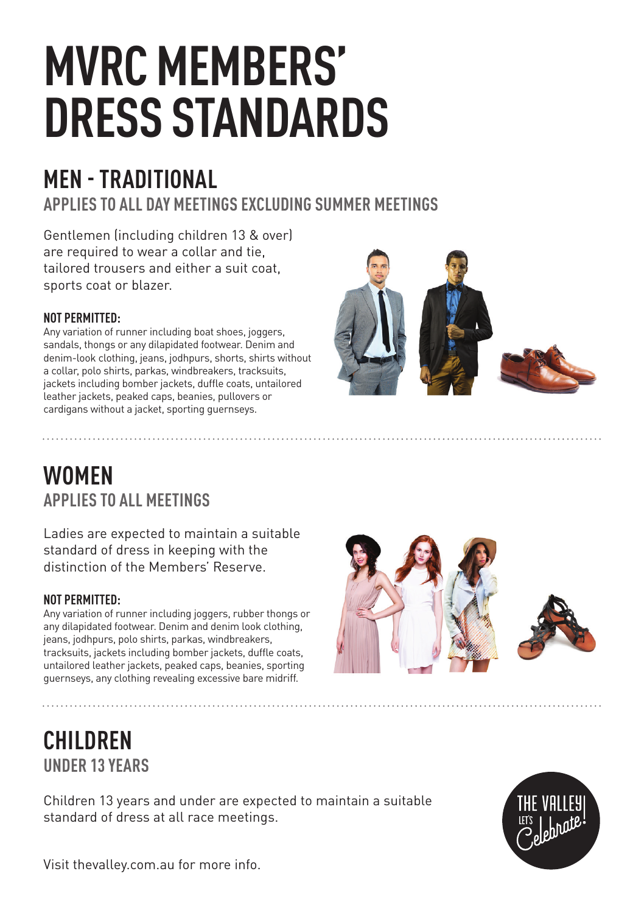# **MVRC MEMBERS' DRESS STANDARDS**

# **MEN - TRADITIONAL**

**APPLIES TO ALL DAY MEETINGS EXCLUDING SUMMER MEETINGS**

Gentlemen (including children 13 & over) are required to wear a collar and tie, tailored trousers and either a suit coat, sports coat or blazer.

#### **NOT PERMITTED:**

Any variation of runner including boat shoes, joggers, sandals, thongs or any dilapidated footwear. Denim and denim-look clothing, jeans, jodhpurs, shorts, shirts without a collar, polo shirts, parkas, windbreakers, tracksuits, jackets including bomber jackets, duffle coats, untailored leather jackets, peaked caps, beanies, pullovers or cardigans without a jacket, sporting guernseys.



## **WOMEN APPLIES TO ALL MEETINGS**

Ladies are expected to maintain a suitable standard of dress in keeping with the distinction of the Members' Reserve.

### **NOT PERMITTED:**

Any variation of runner including joggers, rubber thongs or any dilapidated footwear. Denim and denim look clothing, jeans, jodhpurs, polo shirts, parkas, windbreakers, tracksuits, jackets including bomber jackets, duffle coats, untailored leather jackets, peaked caps, beanies, sporting guernseys, any clothing revealing excessive bare midriff.

# **CHILDREN UNDER 13 YEARS**

Children 13 years and under are expected to maintain a suitable standard of dress at all race meetings.



Visit thevalley.com.au for more info.